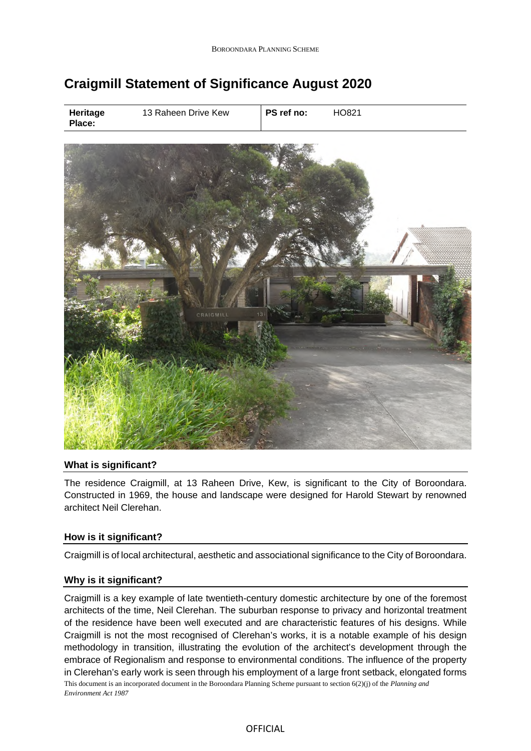# **Craigmill Statement of Significance August 2020**

| Heritage<br>Place: | 13 Raheen Drive Kew | PS ref no: | HO821 |  |
|--------------------|---------------------|------------|-------|--|
|                    |                     |            |       |  |
|                    |                     |            |       |  |
|                    |                     |            |       |  |
|                    |                     |            |       |  |



## **What is significant?**

The residence Craigmill, at 13 Raheen Drive, Kew, is significant to the City of Boroondara. Constructed in 1969, the house and landscape were designed for Harold Stewart by renowned architect Neil Clerehan.

## **How is it significant?**

Craigmill is of local architectural, aesthetic and associational significance to the City of Boroondara.

#### **Why is it significant?**

This document is an incorporated document in the Boroondara Planning Scheme pursuant to section 6(2)(j) of the *Planning and Environment Act 1987* Craigmill is a key example of late twentieth-century domestic architecture by one of the foremost architects of the time, Neil Clerehan. The suburban response to privacy and horizontal treatment of the residence have been well executed and are characteristic features of his designs. While Craigmill is not the most recognised of Clerehan's works, it is a notable example of his design methodology in transition, illustrating the evolution of the architect's development through the embrace of Regionalism and response to environmental conditions. The influence of the property in Clerehan's early work is seen through his employment of a large front setback, elongated forms

## OFFICIAL